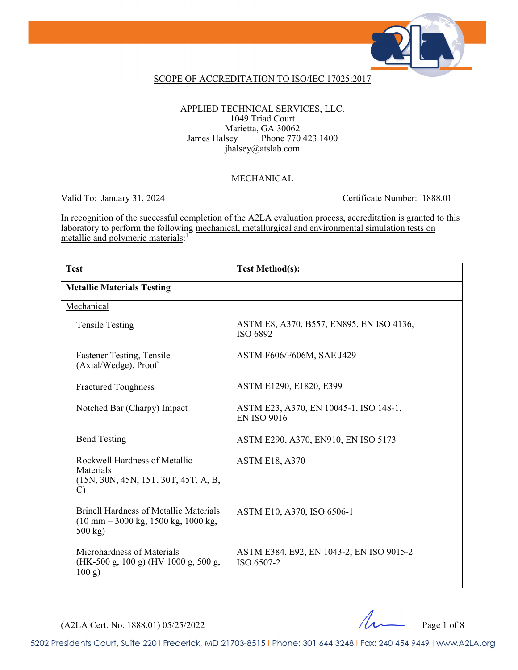

### SCOPE OF ACCREDITATION TO ISO/IEC 17025:2017

APPLIED TECHNICAL SERVICES, LLC. 1049 Triad Court Marietta, GA 30062 James Halsey Phone 770 423 1400 jhalsey@atslab.com

#### MECHANICAL

Valid To: January 31, 2024 Certificate Number: 1888.01

In recognition of the successful completion of the A2LA evaluation process, accreditation is granted to this laboratory to perform the following mechanical, metallurgical and environmental simulation tests on metallic and polymeric materials:<sup>1</sup>

| <b>Test</b>                                                                                                                                | <b>Test Method(s):</b>                                       |  |
|--------------------------------------------------------------------------------------------------------------------------------------------|--------------------------------------------------------------|--|
| <b>Metallic Materials Testing</b>                                                                                                          |                                                              |  |
| Mechanical                                                                                                                                 |                                                              |  |
| <b>Tensile Testing</b>                                                                                                                     | ASTM E8, A370, B557, EN895, EN ISO 4136,<br>ISO 6892         |  |
| Fastener Testing, Tensile<br>(Axial/Wedge), Proof                                                                                          | ASTM F606/F606M, SAE J429                                    |  |
| <b>Fractured Toughness</b>                                                                                                                 | ASTM E1290, E1820, E399                                      |  |
| Notched Bar (Charpy) Impact                                                                                                                | ASTM E23, A370, EN 10045-1, ISO 148-1,<br><b>EN ISO 9016</b> |  |
| <b>Bend Testing</b>                                                                                                                        | ASTM E290, A370, EN910, EN ISO 5173                          |  |
| Rockwell Hardness of Metallic<br>Materials<br>(15N, 30N, 45N, 15T, 30T, 45T, A, B,<br>$\mathcal{C}$                                        | <b>ASTM E18, A370</b>                                        |  |
| <b>Brinell Hardness of Metallic Materials</b><br>$(10 \text{ mm} - 3000 \text{ kg}, 1500 \text{ kg}, 1000 \text{ kg},$<br>$500 \text{ kg}$ | ASTM E10, A370, ISO 6506-1                                   |  |
| Microhardness of Materials<br>(HK-500 g, 100 g) (HV 1000 g, 500 g,<br>100 g)                                                               | ASTM E384, E92, EN 1043-2, EN ISO 9015-2<br>ISO 6507-2       |  |

 $(A2LA$  Cert. No. 1888.01) 05/25/2022 Page 1 of 8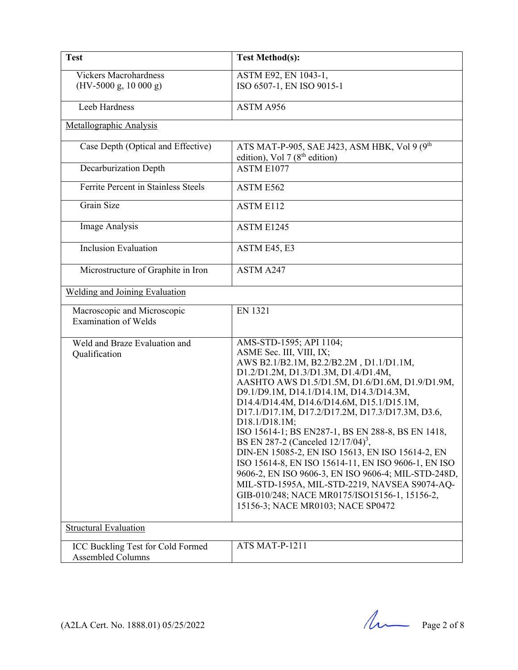| <b>Test</b>                                                | <b>Test Method(s):</b>                                                                                                                                                                                                                                                                                                                                                                                                                                                                                                                                                                                                                                                                                                                                                 |
|------------------------------------------------------------|------------------------------------------------------------------------------------------------------------------------------------------------------------------------------------------------------------------------------------------------------------------------------------------------------------------------------------------------------------------------------------------------------------------------------------------------------------------------------------------------------------------------------------------------------------------------------------------------------------------------------------------------------------------------------------------------------------------------------------------------------------------------|
| <b>Vickers Macrohardness</b><br>$(HV-5000 g, 1000 g)$      | ASTM E92, EN 1043-1,<br>ISO 6507-1, EN ISO 9015-1                                                                                                                                                                                                                                                                                                                                                                                                                                                                                                                                                                                                                                                                                                                      |
| Leeb Hardness                                              | ASTM A956                                                                                                                                                                                                                                                                                                                                                                                                                                                                                                                                                                                                                                                                                                                                                              |
| Metallographic Analysis                                    |                                                                                                                                                                                                                                                                                                                                                                                                                                                                                                                                                                                                                                                                                                                                                                        |
| Case Depth (Optical and Effective)                         | ATS MAT-P-905, SAE J423, ASM HBK, Vol 9 (9 <sup>th</sup><br>edition), Vol 7 ( $8th$ edition)                                                                                                                                                                                                                                                                                                                                                                                                                                                                                                                                                                                                                                                                           |
| Decarburization Depth                                      | ASTM E1077                                                                                                                                                                                                                                                                                                                                                                                                                                                                                                                                                                                                                                                                                                                                                             |
| Ferrite Percent in Stainless Steels                        | ASTM E562                                                                                                                                                                                                                                                                                                                                                                                                                                                                                                                                                                                                                                                                                                                                                              |
| Grain Size                                                 | <b>ASTM E112</b>                                                                                                                                                                                                                                                                                                                                                                                                                                                                                                                                                                                                                                                                                                                                                       |
| Image Analysis                                             | ASTM E1245                                                                                                                                                                                                                                                                                                                                                                                                                                                                                                                                                                                                                                                                                                                                                             |
| <b>Inclusion Evaluation</b>                                | ASTM E45, E3                                                                                                                                                                                                                                                                                                                                                                                                                                                                                                                                                                                                                                                                                                                                                           |
| Microstructure of Graphite in Iron                         | ASTM A247                                                                                                                                                                                                                                                                                                                                                                                                                                                                                                                                                                                                                                                                                                                                                              |
| <b>Welding and Joining Evaluation</b>                      |                                                                                                                                                                                                                                                                                                                                                                                                                                                                                                                                                                                                                                                                                                                                                                        |
| Macroscopic and Microscopic<br><b>Examination of Welds</b> | <b>EN 1321</b>                                                                                                                                                                                                                                                                                                                                                                                                                                                                                                                                                                                                                                                                                                                                                         |
| Weld and Braze Evaluation and<br>Qualification             | AMS-STD-1595; API 1104;<br>ASME Sec. III, VIII, IX;<br>AWS B2.1/B2.1M, B2.2/B2.2M, D1.1/D1.1M,<br>D1.2/D1.2M, D1.3/D1.3M, D1.4/D1.4M,<br>AASHTO AWS D1.5/D1.5M, D1.6/D1.6M, D1.9/D1.9M,<br>D9.1/D9.1M, D14.1/D14.1M, D14.3/D14.3M,<br>D14.4/D14.4M, D14.6/D14.6M, D15.1/D15.1M,<br>D17.1/D17.1M, D17.2/D17.2M, D17.3/D17.3M, D3.6,<br>D18.1/D18.1M;<br>ISO 15614-1; BS EN287-1, BS EN 288-8, BS EN 1418,<br>BS EN 287-2 (Canceled $12/17/04$ ) <sup>3</sup> ,<br>DIN-EN 15085-2, EN ISO 15613, EN ISO 15614-2, EN<br>ISO 15614-8, EN ISO 15614-11, EN ISO 9606-1, EN ISO<br>9606-2, EN ISO 9606-3, EN ISO 9606-4; MIL-STD-248D,<br>MIL-STD-1595A, MIL-STD-2219, NAVSEA S9074-AQ-<br>GIB-010/248; NACE MR0175/ISO15156-1, 15156-2,<br>15156-3; NACE MR0103; NACE SP0472 |
| <b>Structural Evaluation</b>                               |                                                                                                                                                                                                                                                                                                                                                                                                                                                                                                                                                                                                                                                                                                                                                                        |
| ICC Buckling Test for Cold Formed<br>Assembled Columns     | ATS MAT-P-1211                                                                                                                                                                                                                                                                                                                                                                                                                                                                                                                                                                                                                                                                                                                                                         |

(A2LA Cert. No. 1888.01) 05/25/2022 Page 2 of 8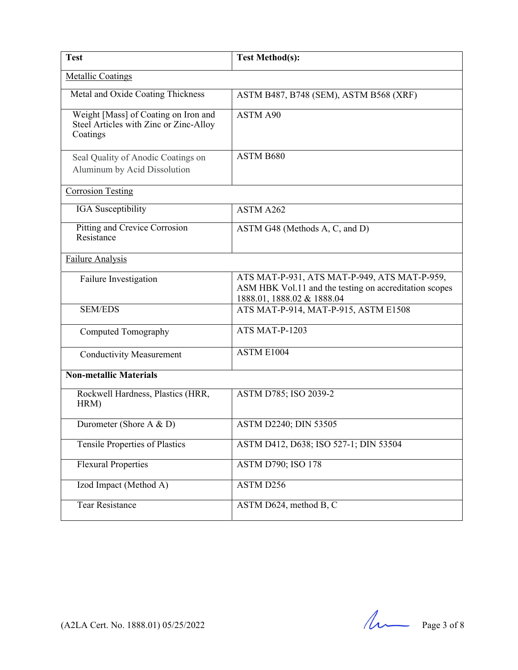| <b>Test</b>                                                                                | <b>Test Method(s):</b>                                                                                                               |
|--------------------------------------------------------------------------------------------|--------------------------------------------------------------------------------------------------------------------------------------|
| <b>Metallic Coatings</b>                                                                   |                                                                                                                                      |
| Metal and Oxide Coating Thickness                                                          | ASTM B487, B748 (SEM), ASTM B568 (XRF)                                                                                               |
| Weight [Mass] of Coating on Iron and<br>Steel Articles with Zinc or Zinc-Alloy<br>Coatings | ASTM A90                                                                                                                             |
| Seal Quality of Anodic Coatings on<br>Aluminum by Acid Dissolution                         | ASTM B680                                                                                                                            |
| <b>Corrosion Testing</b>                                                                   |                                                                                                                                      |
| IGA Susceptibility                                                                         | ASTM A262                                                                                                                            |
| Pitting and Crevice Corrosion<br>Resistance                                                | ASTM G48 (Methods A, C, and D)                                                                                                       |
| Failure Analysis                                                                           |                                                                                                                                      |
| Failure Investigation                                                                      | ATS MAT-P-931, ATS MAT-P-949, ATS MAT-P-959,<br>ASM HBK Vol.11 and the testing on accreditation scopes<br>1888.01, 1888.02 & 1888.04 |
| <b>SEM/EDS</b>                                                                             | ATS MAT-P-914, MAT-P-915, ASTM E1508                                                                                                 |
| Computed Tomography                                                                        | ATS MAT-P-1203                                                                                                                       |
| <b>Conductivity Measurement</b>                                                            | ASTM E1004                                                                                                                           |
| <b>Non-metallic Materials</b>                                                              |                                                                                                                                      |
| Rockwell Hardness, Plastics (HRR,<br>HRM)                                                  | ASTM D785; ISO 2039-2                                                                                                                |
| Durometer (Shore A & D)                                                                    | ASTM D2240; DIN 53505                                                                                                                |
| <b>Tensile Properties of Plastics</b>                                                      | ASTM D412, D638; ISO 527-1; DIN 53504                                                                                                |
| <b>Flexural Properties</b>                                                                 | <b>ASTM D790; ISO 178</b>                                                                                                            |
| Izod Impact (Method A)                                                                     | ASTM D256                                                                                                                            |
| <b>Tear Resistance</b>                                                                     | ASTM D624, method B, C                                                                                                               |

(A2LA Cert. No. 1888.01) 05/25/2022 Page 3 of 8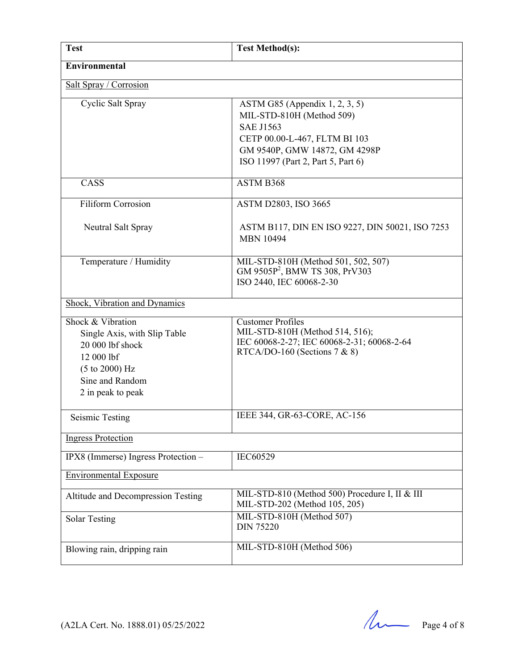| <b>Test</b>                                                                                                                                                      | <b>Test Method(s):</b>                                                                                                                                                                     |
|------------------------------------------------------------------------------------------------------------------------------------------------------------------|--------------------------------------------------------------------------------------------------------------------------------------------------------------------------------------------|
| <b>Environmental</b>                                                                                                                                             |                                                                                                                                                                                            |
| Salt Spray / Corrosion                                                                                                                                           |                                                                                                                                                                                            |
| Cyclic Salt Spray                                                                                                                                                | ASTM G85 (Appendix $1, 2, 3, 5$ )<br>MIL-STD-810H (Method 509)<br><b>SAE J1563</b><br>CETP 00.00-L-467, FLTM BI 103<br>GM 9540P, GMW 14872, GM 4298P<br>ISO 11997 (Part 2, Part 5, Part 6) |
| CASS                                                                                                                                                             | ASTM B368                                                                                                                                                                                  |
| <b>Filiform Corrosion</b>                                                                                                                                        | ASTM D2803, ISO 3665                                                                                                                                                                       |
| Neutral Salt Spray                                                                                                                                               | ASTM B117, DIN EN ISO 9227, DIN 50021, ISO 7253<br><b>MBN 10494</b>                                                                                                                        |
| Temperature / Humidity                                                                                                                                           | MIL-STD-810H (Method 501, 502, 507)<br>GM 9505P <sup>2</sup> , BMW TS 308, PrV303<br>ISO 2440, IEC 60068-2-30                                                                              |
| Shock, Vibration and Dynamics                                                                                                                                    |                                                                                                                                                                                            |
| Shock & Vibration<br>Single Axis, with Slip Table<br>20 000 lbf shock<br>12 000 lbf<br>$(5 \text{ to } 2000) \text{ Hz}$<br>Sine and Random<br>2 in peak to peak | <b>Customer Profiles</b><br>MIL-STD-810H (Method 514, 516);<br>IEC 60068-2-27; IEC 60068-2-31; 60068-2-64<br>RTCA/DO-160 (Sections 7 & 8)                                                  |
| <b>Seismic Testing</b>                                                                                                                                           | IEEE 344, GR-63-CORE, AC-156                                                                                                                                                               |
| <b>Ingress Protection</b>                                                                                                                                        |                                                                                                                                                                                            |
| IPX8 (Immerse) Ingress Protection -                                                                                                                              | IEC60529                                                                                                                                                                                   |
| <b>Environmental Exposure</b>                                                                                                                                    |                                                                                                                                                                                            |
| Altitude and Decompression Testing                                                                                                                               | MIL-STD-810 (Method 500) Procedure I, II & III<br>MIL-STD-202 (Method 105, 205)                                                                                                            |
| <b>Solar Testing</b>                                                                                                                                             | MIL-STD-810H (Method 507)<br><b>DIN 75220</b>                                                                                                                                              |
| Blowing rain, dripping rain                                                                                                                                      | MIL-STD-810H (Method 506)                                                                                                                                                                  |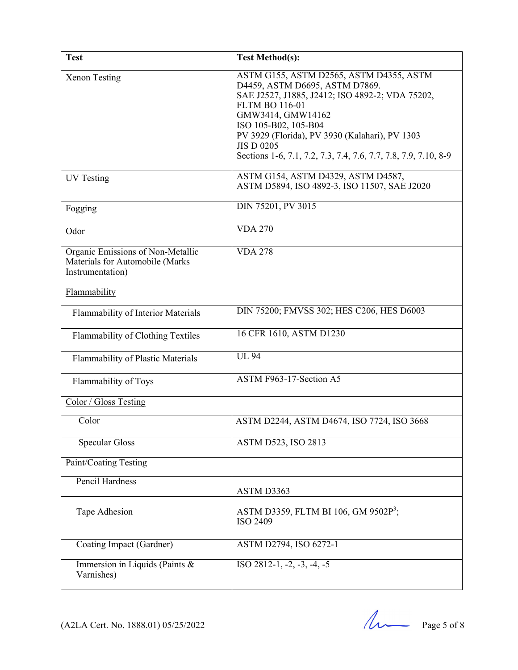| <b>Test</b>                                                                              | <b>Test Method(s):</b>                                                                                                                                                                                                                                                                                                                       |
|------------------------------------------------------------------------------------------|----------------------------------------------------------------------------------------------------------------------------------------------------------------------------------------------------------------------------------------------------------------------------------------------------------------------------------------------|
| <b>Xenon Testing</b>                                                                     | ASTM G155, ASTM D2565, ASTM D4355, ASTM<br>D4459, ASTM D6695, ASTM D7869.<br>SAE J2527, J1885, J2412; ISO 4892-2; VDA 75202,<br><b>FLTM BO 116-01</b><br>GMW3414, GMW14162<br>ISO 105-B02, 105-B04<br>PV 3929 (Florida), PV 3930 (Kalahari), PV 1303<br><b>JIS D 0205</b><br>Sections 1-6, 7.1, 7.2, 7.3, 7.4, 7.6, 7.7, 7.8, 7.9, 7.10, 8-9 |
| <b>UV</b> Testing                                                                        | ASTM G154, ASTM D4329, ASTM D4587,<br>ASTM D5894, ISO 4892-3, ISO 11507, SAE J2020                                                                                                                                                                                                                                                           |
| Fogging                                                                                  | DIN 75201, PV 3015                                                                                                                                                                                                                                                                                                                           |
| Odor                                                                                     | <b>VDA 270</b>                                                                                                                                                                                                                                                                                                                               |
| Organic Emissions of Non-Metallic<br>Materials for Automobile (Marks<br>Instrumentation) | <b>VDA 278</b>                                                                                                                                                                                                                                                                                                                               |
| Flammability                                                                             |                                                                                                                                                                                                                                                                                                                                              |
| Flammability of Interior Materials                                                       | DIN 75200; FMVSS 302; HES C206, HES D6003                                                                                                                                                                                                                                                                                                    |
| Flammability of Clothing Textiles                                                        | 16 CFR 1610, ASTM D1230                                                                                                                                                                                                                                                                                                                      |
| Flammability of Plastic Materials                                                        | <b>UL 94</b>                                                                                                                                                                                                                                                                                                                                 |
| Flammability of Toys                                                                     | ASTM F963-17-Section A5                                                                                                                                                                                                                                                                                                                      |
| Color / Gloss Testing                                                                    |                                                                                                                                                                                                                                                                                                                                              |
| Color                                                                                    | ASTM D2244, ASTM D4674, ISO 7724, ISO 3668                                                                                                                                                                                                                                                                                                   |
| <b>Specular Gloss</b>                                                                    | ASTM D523, ISO 2813                                                                                                                                                                                                                                                                                                                          |
| Paint/Coating Testing                                                                    |                                                                                                                                                                                                                                                                                                                                              |
| <b>Pencil Hardness</b>                                                                   | ASTM D3363                                                                                                                                                                                                                                                                                                                                   |
| Tape Adhesion                                                                            | ASTM D3359, FLTM BI 106, GM 9502P <sup>3</sup> ;<br><b>ISO 2409</b>                                                                                                                                                                                                                                                                          |
| Coating Impact (Gardner)                                                                 | ASTM D2794, ISO 6272-1                                                                                                                                                                                                                                                                                                                       |
| Immersion in Liquids (Paints &<br>Varnishes)                                             | $ISO 2812-1, -2, -3, -4, -5$                                                                                                                                                                                                                                                                                                                 |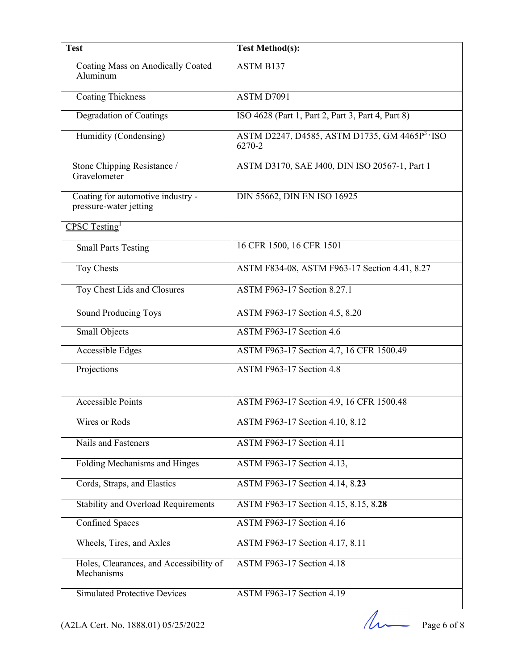| <b>Test</b>                                                 | <b>Test Method(s):</b>                                               |
|-------------------------------------------------------------|----------------------------------------------------------------------|
| Coating Mass on Anodically Coated<br>Aluminum               | <b>ASTM B137</b>                                                     |
| <b>Coating Thickness</b>                                    | ASTM D7091                                                           |
| <b>Degradation of Coatings</b>                              | ISO 4628 (Part 1, Part 2, Part 3, Part 4, Part 8)                    |
| Humidity (Condensing)                                       | ASTM D2247, D4585, ASTM D1735, GM 4465P <sup>3</sup> · ISO<br>6270-2 |
| Stone Chipping Resistance /<br>Gravelometer                 | ASTM D3170, SAE J400, DIN ISO 20567-1, Part 1                        |
| Coating for automotive industry -<br>pressure-water jetting | DIN 55662, DIN EN ISO 16925                                          |
| CPSC Testing <sup>1</sup>                                   |                                                                      |
| <b>Small Parts Testing</b>                                  | 16 CFR 1500, 16 CFR 1501                                             |
| Toy Chests                                                  | ASTM F834-08, ASTM F963-17 Section 4.41, 8.27                        |
| Toy Chest Lids and Closures                                 | ASTM F963-17 Section 8.27.1                                          |
| <b>Sound Producing Toys</b>                                 | ASTM F963-17 Section 4.5, 8.20                                       |
| <b>Small Objects</b>                                        | ASTM F963-17 Section 4.6                                             |
| Accessible Edges                                            | ASTM F963-17 Section 4.7, 16 CFR 1500.49                             |
| Projections                                                 | ASTM F963-17 Section 4.8                                             |
| <b>Accessible Points</b>                                    | ASTM F963-17 Section 4.9, 16 CFR 1500.48                             |
| Wires or Rods                                               | ASTM F963-17 Section 4.10, 8.12                                      |
| Nails and Fasteners                                         | ASTM F963-17 Section 4.11                                            |
| Folding Mechanisms and Hinges                               | ASTM F963-17 Section 4.13,                                           |
| Cords, Straps, and Elastics                                 | ASTM F963-17 Section 4.14, 8.23                                      |
| <b>Stability and Overload Requirements</b>                  | ASTM F963-17 Section 4.15, 8.15, 8.28                                |
| <b>Confined Spaces</b>                                      | <b>ASTM F963-17 Section 4.16</b>                                     |
| Wheels, Tires, and Axles                                    | ASTM F963-17 Section 4.17, 8.11                                      |
| Holes, Clearances, and Accessibility of<br>Mechanisms       | <b>ASTM F963-17 Section 4.18</b>                                     |
| <b>Simulated Protective Devices</b>                         | ASTM F963-17 Section 4.19                                            |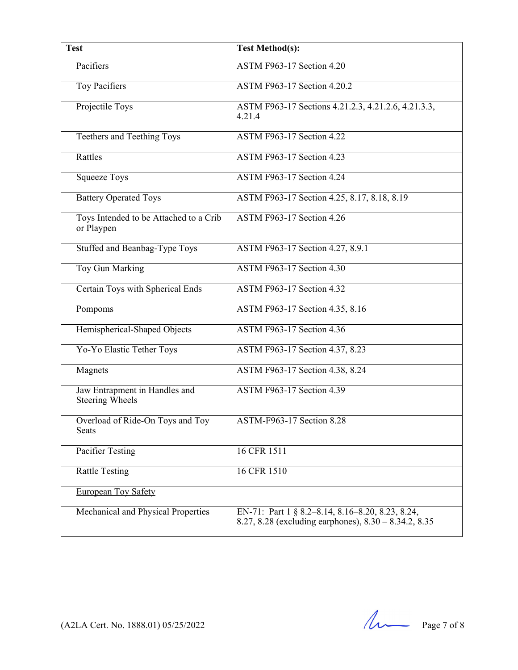| <b>Test</b>                                          | <b>Test Method(s):</b>                                                                                         |
|------------------------------------------------------|----------------------------------------------------------------------------------------------------------------|
| Pacifiers                                            | <b>ASTM F963-17 Section 4.20</b>                                                                               |
| <b>Toy Pacifiers</b>                                 | <b>ASTM F963-17 Section 4.20.2</b>                                                                             |
| Projectile Toys                                      | ASTM F963-17 Sections 4.21.2.3, 4.21.2.6, 4.21.3.3,<br>4.21.4                                                  |
| Teethers and Teething Toys                           | <b>ASTM F963-17 Section 4.22</b>                                                                               |
| Rattles                                              | <b>ASTM F963-17 Section 4.23</b>                                                                               |
| <b>Squeeze Toys</b>                                  | <b>ASTM F963-17 Section 4.24</b>                                                                               |
| <b>Battery Operated Toys</b>                         | ASTM F963-17 Section 4.25, 8.17, 8.18, 8.19                                                                    |
| Toys Intended to be Attached to a Crib<br>or Playpen | <b>ASTM F963-17 Section 4.26</b>                                                                               |
| Stuffed and Beanbag-Type Toys                        | ASTM F963-17 Section 4.27, 8.9.1                                                                               |
| Toy Gun Marking                                      | <b>ASTM F963-17 Section 4.30</b>                                                                               |
| Certain Toys with Spherical Ends                     | <b>ASTM F963-17 Section 4.32</b>                                                                               |
| Pompoms                                              | ASTM F963-17 Section 4.35, 8.16                                                                                |
| Hemispherical-Shaped Objects                         | <b>ASTM F963-17 Section 4.36</b>                                                                               |
| Yo-Yo Elastic Tether Toys                            | ASTM F963-17 Section 4.37, 8.23                                                                                |
| Magnets                                              | ASTM F963-17 Section 4.38, 8.24                                                                                |
| Jaw Entrapment in Handles and<br>Steering Wheels     | ASTM F963-17 Section 4.39                                                                                      |
| Overload of Ride-On Toys and Toy<br>Seats            | ASTM-F963-17 Section 8.28                                                                                      |
| Pacifier Testing                                     | 16 CFR 1511                                                                                                    |
| <b>Rattle Testing</b>                                | 16 CFR 1510                                                                                                    |
| <b>European Toy Safety</b>                           |                                                                                                                |
| Mechanical and Physical Properties                   | EN-71: Part 1 § 8.2–8.14, 8.16–8.20, 8.23, 8.24,<br>8.27, 8.28 (excluding earphones), $8.30 - 8.34.2$ , $8.35$ |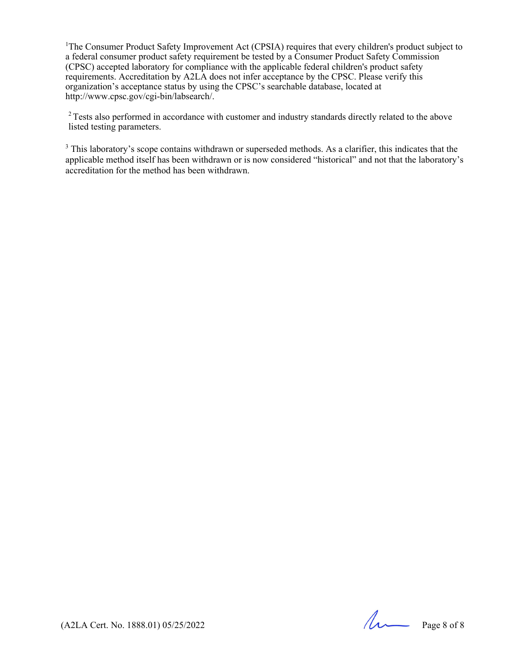<sup>1</sup>The Consumer Product Safety Improvement Act (CPSIA) requires that every children's product subject to a federal consumer product safety requirement be tested by a Consumer Product Safety Commission (CPSC) accepted laboratory for compliance with the applicable federal children's product safety requirements. Accreditation by A2LA does not infer acceptance by the CPSC. Please verify this organization's acceptance status by using the CPSC's searchable database, located at http://www.cpsc.gov/cgi-bin/labsearch/.

<sup>2</sup> Tests also performed in accordance with customer and industry standards directly related to the above listed testing parameters.

<sup>3</sup> This laboratory's scope contains withdrawn or superseded methods. As a clarifier, this indicates that the applicable method itself has been withdrawn or is now considered "historical" and not that the laboratory's accreditation for the method has been withdrawn.

(A2LA Cert. No. 1888.01) 05/25/2022 Page 8 of 8